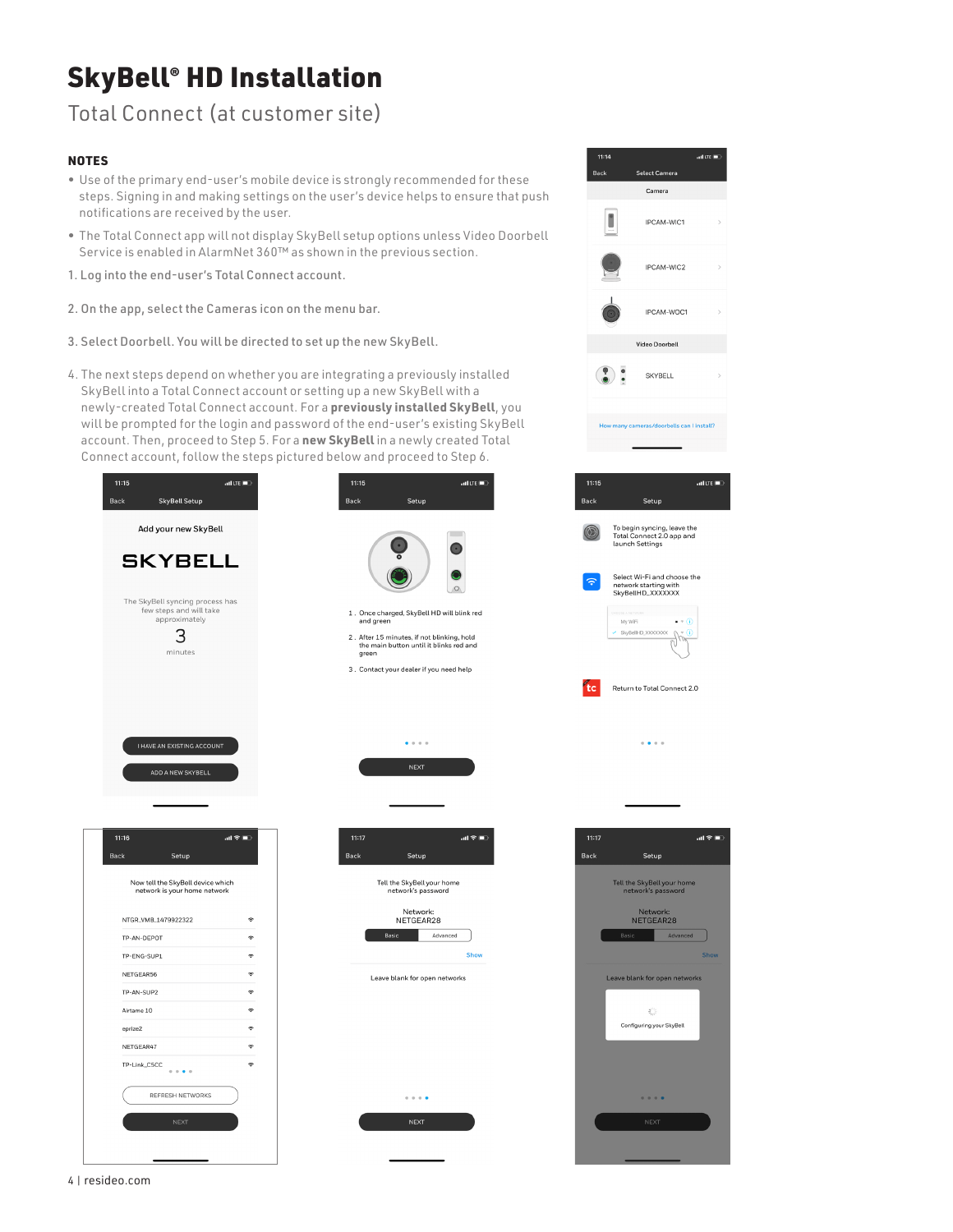# SkyBell® HD Installation

### Total Connect (at customer site)

#### **NOTES**

- Use of the primary end-user's mobile device is strongly recommended for these steps. Signing in and making settings on the user's device helps to ensure that push notifications are received by the user.
- The Total Connect app will not display SkyBell setup options unless Video Doorbell Service is enabled in AlarmNet 360™ as shown in the previous section.
- 1. Log into the end-user's Total Connect account.
- 2. On the app, select the Cameras icon on the menu bar.
- 3. Select Doorbell. You will be directed to set up the new SkyBell.
- 4. The next steps depend on whether you are integrating a previously installed SkyBell into a Total Connect account or setting up a new SkyBell with a newly-created Total Connect account. For a **previously installed SkyBell**, you will be prompted for the login and password of the end-user's existing SkyBell account. Then, proceed to Step 5. For a **new SkyBell** in a newly created Total Connect account, follow the steps pictured below and proceed to Step 6.